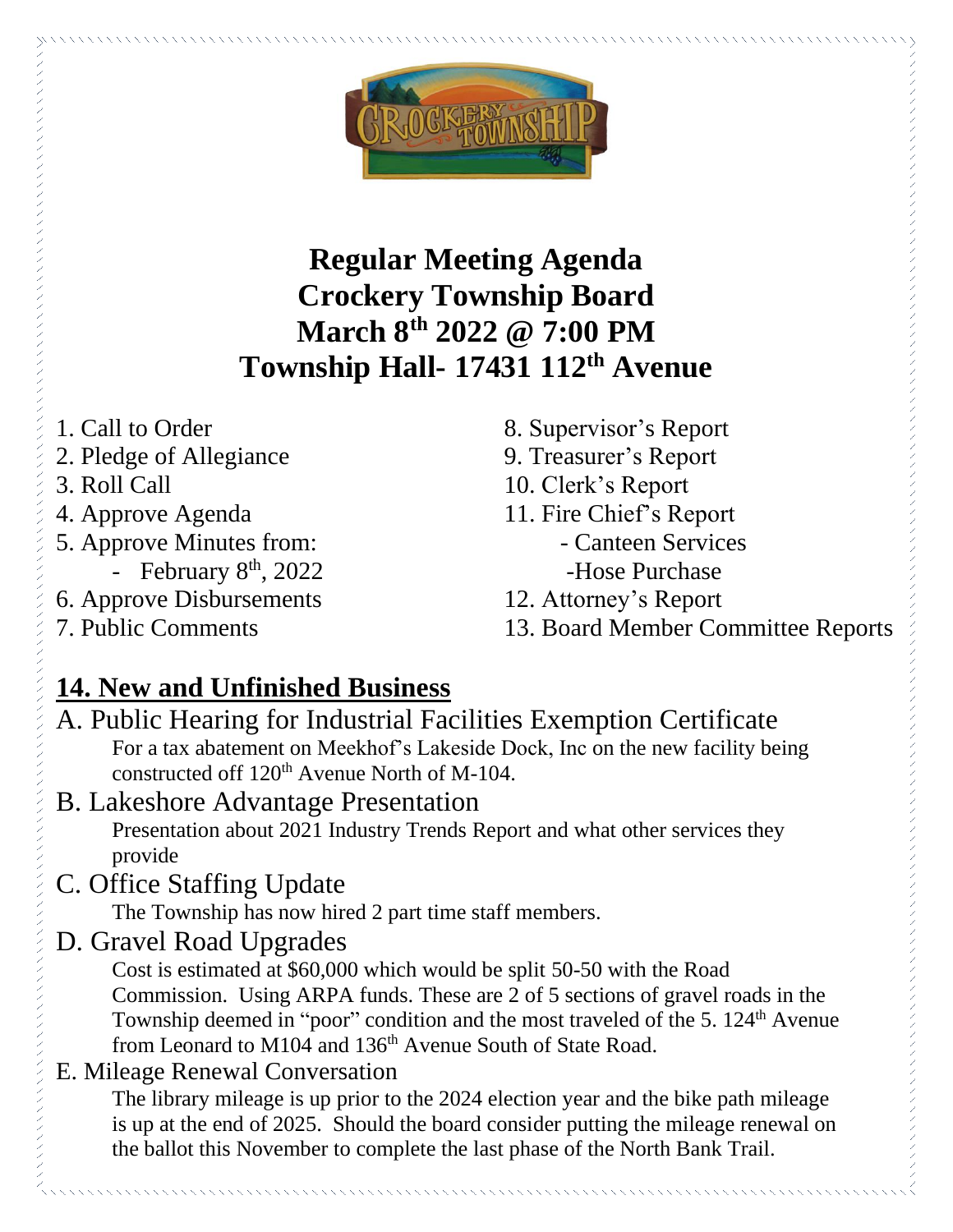

# **Regular Meeting Agenda Crockery Township Board March 8th 2022 @ 7:00 PM Township Hall- 17431 112th Avenue**

- 1. Call to Order
- 2. Pledge of Allegiance
- 3. Roll Call
- 4. Approve Agenda
- 5. Approve Minutes from:
	- February  $8<sup>th</sup>$ , 2022
- 6. Approve Disbursements
- 7. Public Comments
- 8. Supervisor's Report
- 9. Treasurer's Report
- 10. Clerk's Report
- 11. Fire Chief's Report
	- Canteen Services -Hose Purchase
- 12. Attorney's Report
- 13. Board Member Committee Reports

# **14. New and Unfinished Business**

- A. Public Hearing for Industrial Facilities Exemption Certificate For a tax abatement on Meekhof's Lakeside Dock, Inc on the new facility being constructed off  $120<sup>th</sup>$  Avenue North of M-104.
- B. Lakeshore Advantage Presentation Presentation about 2021 Industry Trends Report and what other services they provide
- C. Office Staffing Update

The Township has now hired 2 part time staff members.

D. Gravel Road Upgrades

Cost is estimated at \$60,000 which would be split 50-50 with the Road Commission. Using ARPA funds. These are 2 of 5 sections of gravel roads in the Township deemed in "poor" condition and the most traveled of the 5.  $124<sup>th</sup>$  Avenue from Leonard to M104 and 136<sup>th</sup> Avenue South of State Road.

## E. Mileage Renewal Conversation

The library mileage is up prior to the 2024 election year and the bike path mileage is up at the end of 2025. Should the board consider putting the mileage renewal on the ballot this November to complete the last phase of the North Bank Trail.